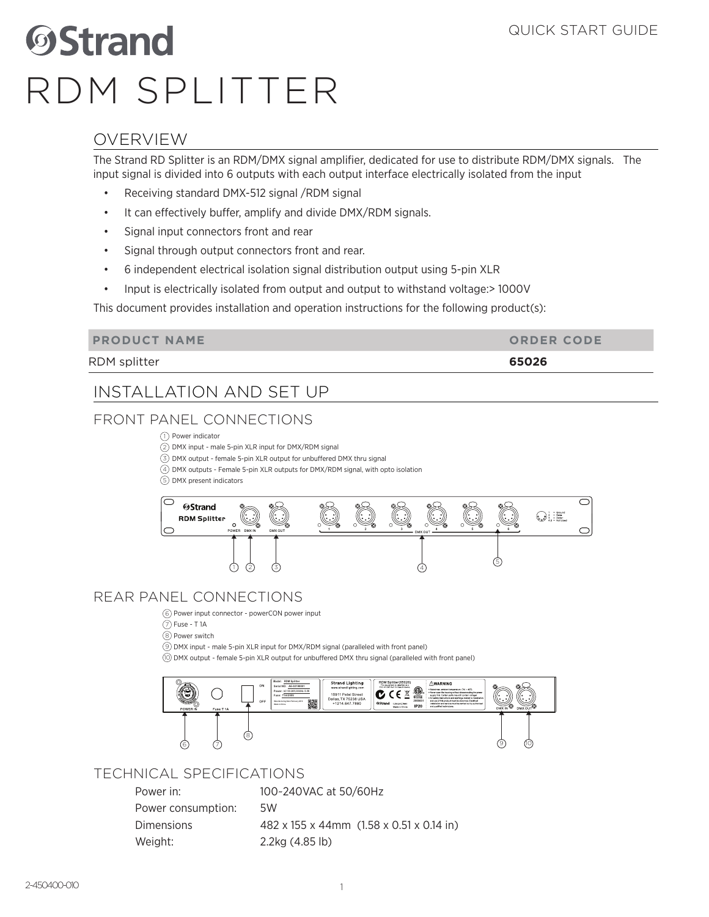# **OStrand** RDM SPLITTER

## OVERVIEW

The Strand RD Splitter is an RDM/DMX signal amplifier, dedicated for use to distribute RDM/DMX signals. The input signal is divided into 6 outputs with each output interface electrically isolated from the input

- Receiving standard DMX-512 signal /RDM signal
- It can effectively buffer, amplify and divide DMX/RDM signals.
- Signal input connectors front and rear
- Signal through output connectors front and rear.
- 6 independent electrical isolation signal distribution output using 5-pin XLR
- Input is electrically isolated from output and output to withstand voltage:> 1000V

This document provides installation and operation instructions for the following product(s):

| <b>PRODUCT NAME</b> | <b>ORDER CODE</b> |
|---------------------|-------------------|
| RDM splitter        | 65026             |

## INSTALLATION AND SET UP

## FRONT PANEL CONNECTIONS

1) Power indicator

2) DMX input - male 5-pin XLR input for DMX/RDM signal

3) DMX output - female 5-pin XLR output for unbuffered DMX thru signal

DMX outputs - Female 5-pin XLR outputs for DMX/RDM signal, with opto isolation 4

5) DMX present indicators



## REAR PANEL CONNECTIONS

6) Power input connector - powerCON power input

7) Fuse - T 1A

Power switch 8

9) DMX input - male 5-pin XLR input for DMX/RDM signal (paralleled with front panel)

DMX output - female 5-pin XLR output for unbuffered DMX thru signal (paralleled with front panel) 10



### TECHNICAL SPECIFICATIONS

| Power in:          | 100~240VAC at 50/60Hz                    |
|--------------------|------------------------------------------|
| Power consumption: | .5W                                      |
| <b>Dimensions</b>  | 482 x 155 x 44mm (1.58 x 0.51 x 0.14 in) |
| Weight:            | 2.2kg (4.85 lb)                          |